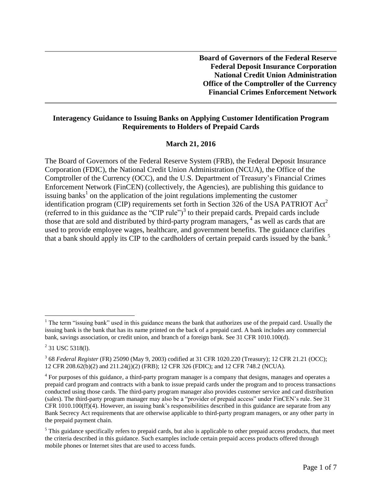**Board of Governors of the Federal Reserve Federal Deposit Insurance Corporation National Credit Union Administration Office of the Comptroller of the Currency Financial Crimes Enforcement Network**

#### **Interagency Guidance to Issuing Banks on Applying Customer Identification Program Requirements to Holders of Prepaid Cards**

#### **March 21, 2016**

The Board of Governors of the Federal Reserve System (FRB), the Federal Deposit Insurance Corporation (FDIC), the National Credit Union Administration (NCUA), the Office of the Comptroller of the Currency (OCC), and the U.S. Department of Treasury's Financial Crimes Enforcement Network (FinCEN) (collectively, the Agencies), are publishing this guidance to issuing banks<sup>1</sup> on the application of the joint regulations implementing the customer identification program (CIP) requirements set forth in Section 326 of the USA PATRIOT  $Act^2$ (referred to in this guidance as the "CIP rule") $3$  to their prepaid cards. Prepaid cards include those that are sold and distributed by third-party program managers, 4 as well as cards that are used to provide employee wages, healthcare, and government benefits. The guidance clarifies that a bank should apply its CIP to the cardholders of certain prepaid cards issued by the bank. 5

<sup>&</sup>lt;sup>1</sup> The term "issuing bank" used in this guidance means the bank that authorizes use of the prepaid card. Usually the issuing bank is the bank that has its name printed on the back of a prepaid card. A bank includes any commercial bank, savings association, or credit union, and branch of a foreign bank. See 31 CFR 1010.100(d).

 $2$  31 USC 5318(1).

<sup>3</sup> 68 *Federal Register* (FR) 25090 (May 9, 2003) codified at 31 CFR 1020.220 (Treasury); 12 CFR 21.21 (OCC); 12 CFR 208.62(b)(2) and 211.24(j)(2) (FRB); 12 CFR 326 (FDIC); and 12 CFR 748.2 (NCUA).

 $4$  For purposes of this guidance, a third-party program manager is a company that designs, manages and operates a prepaid card program and contracts with a bank to issue prepaid cards under the program and to process transactions conducted using those cards. The third-party program manager also provides customer service and card distribution (sales). The third-party program manager may also be a "provider of prepaid access" under FinCEN's rule. See 31 CFR 1010.100(ff)(4). However, an issuing bank's responsibilities described in this guidance are separate from any Bank Secrecy Act requirements that are otherwise applicable to third-party program managers, or any other party in the prepaid payment chain.

 $<sup>5</sup>$  This guidance specifically refers to prepaid cards, but also is applicable to other prepaid access products, that meet</sup> the criteria described in this guidance. Such examples include certain prepaid access products offered through mobile phones or Internet sites that are used to access funds.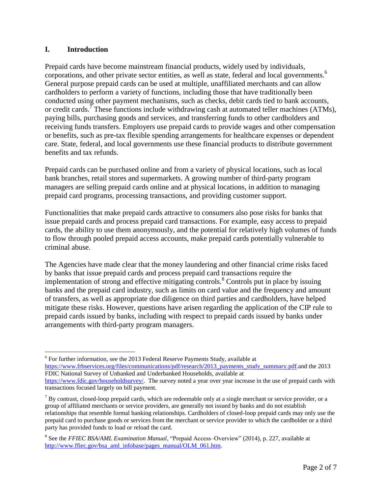#### **I. Introduction**

 $\overline{a}$ 

Prepaid cards have become mainstream financial products, widely used by individuals, corporations, and other private sector entities, as well as state, federal and local governments. 6 General purpose prepaid cards can be used at multiple, unaffiliated merchants and can allow cardholders to perform a variety of functions, including those that have traditionally been conducted using other payment mechanisms, such as checks, debit cards tied to bank accounts, or credit cards.<sup>7</sup> These functions include withdrawing cash at automated teller machines (ATMs), paying bills, purchasing goods and services, and transferring funds to other cardholders and receiving funds transfers. Employers use prepaid cards to provide wages and other compensation or benefits, such as pre-tax flexible spending arrangements for healthcare expenses or dependent care. State, federal, and local governments use these financial products to distribute government benefits and tax refunds.

Prepaid cards can be purchased online and from a variety of physical locations, such as local bank branches, retail stores and supermarkets. A growing number of third-party program managers are selling prepaid cards online and at physical locations, in addition to managing prepaid card programs, processing transactions, and providing customer support.

Functionalities that make prepaid cards attractive to consumers also pose risks for banks that issue prepaid cards and process prepaid card transactions. For example, easy access to prepaid cards, the ability to use them anonymously, and the potential for relatively high volumes of funds to flow through pooled prepaid access accounts, make prepaid cards potentially vulnerable to criminal abuse.

The Agencies have made clear that the money laundering and other financial crime risks faced by banks that issue prepaid cards and process prepaid card transactions require the implementation of strong and effective mitigating controls.<sup>8</sup> Controls put in place by issuing banks and the prepaid card industry, such as limits on card value and the frequency and amount of transfers, as well as appropriate due diligence on third parties and cardholders, have helped mitigate these risks. However, questions have arisen regarding the application of the CIP rule to prepaid cards issued by banks, including with respect to prepaid cards issued by banks under arrangements with third-party program managers.

 $6$  For further information, see the 2013 Federal Reserve Payments Study, available at [https://www.frbservices.org/files/communications/pdf/research/2013\\_payments\\_study\\_summary.pdf.](https://www.frbservices.org/files/communications/pdf/research/2013_payments_study_summary.pdf)and the 2013 FDIC National Survey of Unbanked and Underbanked Households, available at

[https://www.fdic.gov/householdsurvey/.](https://www.fdic.gov/householdsurvey/) The survey noted a year over year increase in the use of prepaid cards with transactions focused largely on bill payment.

 $<sup>7</sup>$  By contrast, closed-loop prepaid cards, which are redeemable only at a single merchant or service provider, or a</sup> group of affiliated merchants or service providers, are generally not issued by banks and do not establish relationships that resemble formal banking relationships. Cardholders of closed-loop prepaid cards may only use the prepaid card to purchase goods or services from the merchant or service provider to which the cardholder or a third party has provided funds to load or reload the card.

<sup>8</sup> See the *FFIEC BSA/AML Examination Manual*, "Prepaid Access–Overview" (2014), p. 227, available at [http://www.ffiec.gov/bsa\\_aml\\_infobase/pages\\_manual/OLM\\_061.htm.](http://www.ffiec.gov/bsa_aml_infobase/pages_manual/OLM_061.htm)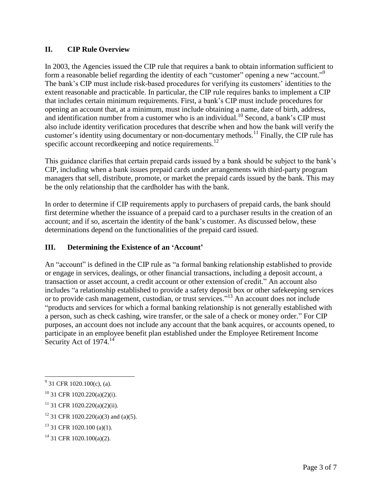#### **II. CIP Rule Overview**

In 2003, the Agencies issued the CIP rule that requires a bank to obtain information sufficient to form a reasonable belief regarding the identity of each "customer" opening a new "account."<sup>9</sup> The bank's CIP must include risk-based procedures for verifying its customers' identities to the extent reasonable and practicable. In particular, the CIP rule requires banks to implement a CIP that includes certain minimum requirements. First, a bank's CIP must include procedures for opening an account that, at a minimum, must include obtaining a name, date of birth, address, and identification number from a customer who is an individual. <sup>10</sup> Second, a bank's CIP must also include identity verification procedures that describe when and how the bank will verify the customer's identity using documentary or non-documentary methods.<sup>11</sup> Finally, the CIP rule has specific account recordkeeping and notice requirements.<sup>12</sup>

This guidance clarifies that certain prepaid cards issued by a bank should be subject to the bank's CIP, including when a bank issues prepaid cards under arrangements with third-party program managers that sell, distribute, promote, or market the prepaid cards issued by the bank. This may be the only relationship that the cardholder has with the bank.

In order to determine if CIP requirements apply to purchasers of prepaid cards, the bank should first determine whether the issuance of a prepaid card to a purchaser results in the creation of an account; and if so, ascertain the identity of the bank's customer. As discussed below, these determinations depend on the functionalities of the prepaid card issued.

#### **III. Determining the Existence of an 'Account'**

An "account" is defined in the CIP rule as "a formal banking relationship established to provide or engage in services, dealings, or other financial transactions, including a deposit account, a transaction or asset account, a credit account or other extension of credit." An account also includes "a relationship established to provide a safety deposit box or other safekeeping services or to provide cash management, custodian, or trust services."<sup>13</sup> An account does not include "products and services for which a formal banking relationship is not generally established with a person, such as check cashing, wire transfer, or the sale of a check or money order." For CIP purposes, an account does not include any account that the bank acquires, or accounts opened, to participate in an employee benefit plan established under the Employee Retirement Income Security Act of 1974.<sup>14</sup>

 $9^9$  31 CFR 1020.100(c), (a).

 $10$  31 CFR 1020.220(a)(2)(i).

 $11$  31 CFR 1020.220(a)(2)(ii).

 $12$  31 CFR 1020.220(a)(3) and (a)(5).

<sup>&</sup>lt;sup>13</sup> 31 CFR 1020.100 (a)(1).

 $14$  31 CFR 1020.100(a)(2).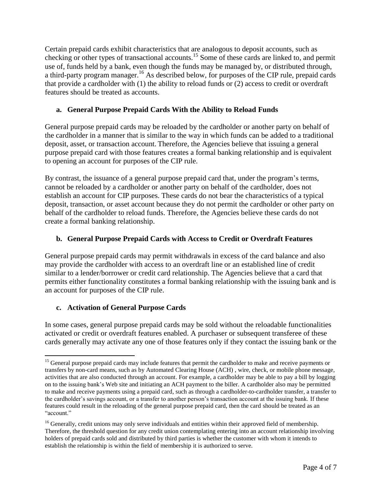Certain prepaid cards exhibit characteristics that are analogous to deposit accounts, such as checking or other types of transactional accounts.<sup>15</sup> Some of these cards are linked to, and permit use of, funds held by a bank, even though the funds may be managed by, or distributed through, a third-party program manager.<sup>16</sup> As described below, for purposes of the CIP rule, prepaid cards that provide a cardholder with (1) the ability to reload funds or (2) access to credit or overdraft features should be treated as accounts.

#### **a. General Purpose Prepaid Cards With the Ability to Reload Funds**

General purpose prepaid cards may be reloaded by the cardholder or another party on behalf of the cardholder in a manner that is similar to the way in which funds can be added to a traditional deposit, asset, or transaction account. Therefore, the Agencies believe that issuing a general purpose prepaid card with those features creates a formal banking relationship and is equivalent to opening an account for purposes of the CIP rule.

By contrast, the issuance of a general purpose prepaid card that, under the program's terms, cannot be reloaded by a cardholder or another party on behalf of the cardholder, does not establish an account for CIP purposes. These cards do not bear the characteristics of a typical deposit, transaction, or asset account because they do not permit the cardholder or other party on behalf of the cardholder to reload funds. Therefore, the Agencies believe these cards do not create a formal banking relationship.

# **b. General Purpose Prepaid Cards with Access to Credit or Overdraft Features**

General purpose prepaid cards may permit withdrawals in excess of the card balance and also may provide the cardholder with access to an overdraft line or an established line of credit similar to a lender/borrower or credit card relationship. The Agencies believe that a card that permits either functionality constitutes a formal banking relationship with the issuing bank and is an account for purposes of the CIP rule.

# **c. Activation of General Purpose Cards**

In some cases, general purpose prepaid cards may be sold without the reloadable functionalities activated or credit or overdraft features enabled. A purchaser or subsequent transferee of these cards generally may activate any one of those features only if they contact the issuing bank or the

 $\overline{a}$ <sup>15</sup> General purpose prepaid cards may include features that permit the cardholder to make and receive payments or transfers by non-card means, such as by Automated Clearing House (ACH) , wire, check, or mobile phone message, activities that are also conducted through an account. For example, a cardholder may be able to pay a bill by logging on to the issuing bank's Web site and initiating an ACH payment to the biller. A cardholder also may be permitted to make and receive payments using a prepaid card, such as through a cardholder-to-cardholder transfer, a transfer to the cardholder's savings account, or a transfer to another person's transaction account at the issuing bank. If these features could result in the reloading of the general purpose prepaid card, then the card should be treated as an "account."

 $<sup>16</sup>$  Generally, credit unions may only serve individuals and entities within their approved field of membership.</sup> Therefore, the threshold question for any credit union contemplating entering into an account relationship involving holders of prepaid cards sold and distributed by third parties is whether the customer with whom it intends to establish the relationship is within the field of membership it is authorized to serve.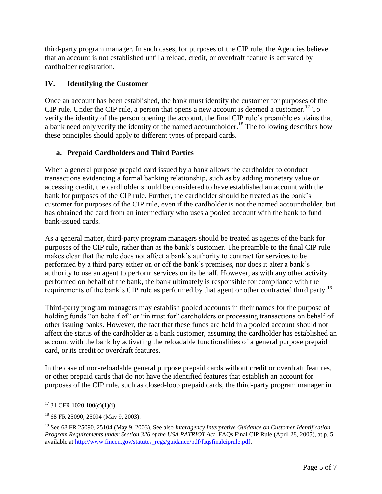third-party program manager. In such cases, for purposes of the CIP rule, the Agencies believe that an account is not established until a reload, credit, or overdraft feature is activated by cardholder registration.

# **IV. Identifying the Customer**

Once an account has been established, the bank must identify the customer for purposes of the CIP rule. Under the CIP rule, a person that opens a new account is deemed a customer.<sup>17</sup> To verify the identity of the person opening the account, the final CIP rule's preamble explains that a bank need only verify the identity of the named accountholder.<sup>18</sup> The following describes how these principles should apply to different types of prepaid cards.

# **a. Prepaid Cardholders and Third Parties**

When a general purpose prepaid card issued by a bank allows the cardholder to conduct transactions evidencing a formal banking relationship, such as by adding monetary value or accessing credit, the cardholder should be considered to have established an account with the bank for purposes of the CIP rule. Further, the cardholder should be treated as the bank's customer for purposes of the CIP rule, even if the cardholder is not the named accountholder, but has obtained the card from an intermediary who uses a pooled account with the bank to fund bank-issued cards.

As a general matter, third-party program managers should be treated as agents of the bank for purposes of the CIP rule, rather than as the bank's customer. The preamble to the final CIP rule makes clear that the rule does not affect a bank's authority to contract for services to be performed by a third party either on or off the bank's premises, nor does it alter a bank's authority to use an agent to perform services on its behalf. However, as with any other activity performed on behalf of the bank, the bank ultimately is responsible for compliance with the requirements of the bank's CIP rule as performed by that agent or other contracted third party.<sup>19</sup>

Third-party program managers may establish pooled accounts in their names for the purpose of holding funds "on behalf of" or "in trust for" cardholders or processing transactions on behalf of other issuing banks. However, the fact that these funds are held in a pooled account should not affect the status of the cardholder as a bank customer, assuming the cardholder has established an account with the bank by activating the reloadable functionalities of a general purpose prepaid card, or its credit or overdraft features.

In the case of non-reloadable general purpose prepaid cards without credit or overdraft features, or other prepaid cards that do not have the identified features that establish an account for purposes of the CIP rule, such as closed-loop prepaid cards, the third-party program manager in

 $17$  31 CFR 1020.100(c)(1)(i).

<sup>18</sup> 68 FR 25090, 25094 (May 9, 2003).

<sup>19</sup> See 68 FR 25090, 25104 (May 9, 2003). See also *Interagency Interpretive Guidance on Customer Identification Program Requirements under Section 326 of the USA PATRIOT Act*, FAQs Final CIP Rule (April 28, 2005), at p. 5, available at [http://www.fincen.gov/statutes\\_regs/guidance/pdf/faqsfinalciprule.pdf.](http://www.fincen.gov/statutes_regs/guidance/pdf/faqsfinalciprule.pdf)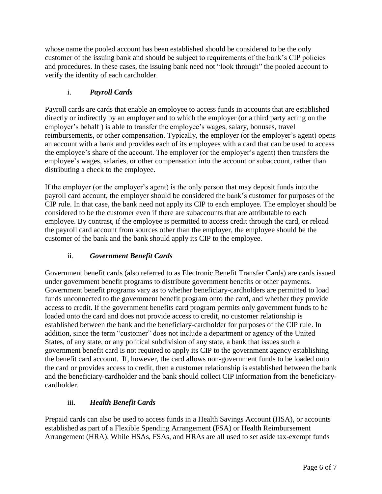whose name the pooled account has been established should be considered to be the only customer of the issuing bank and should be subject to requirements of the bank's CIP policies and procedures. In these cases, the issuing bank need not "look through" the pooled account to verify the identity of each cardholder.

# i. *Payroll Cards*

Payroll cards are cards that enable an employee to access funds in accounts that are established directly or indirectly by an employer and to which the employer (or a third party acting on the employer's behalf ) is able to transfer the employee's wages, salary, bonuses, travel reimbursements, or other compensation. Typically, the employer (or the employer's agent) opens an account with a bank and provides each of its employees with a card that can be used to access the employee's share of the account. The employer (or the employer's agent) then transfers the employee's wages, salaries, or other compensation into the account or subaccount, rather than distributing a check to the employee.

If the employer (or the employer's agent) is the only person that may deposit funds into the payroll card account, the employer should be considered the bank's customer for purposes of the CIP rule. In that case, the bank need not apply its CIP to each employee. The employer should be considered to be the customer even if there are subaccounts that are attributable to each employee. By contrast, if the employee is permitted to access credit through the card, or reload the payroll card account from sources other than the employer, the employee should be the customer of the bank and the bank should apply its CIP to the employee.

# ii. *Government Benefit Cards*

Government benefit cards (also referred to as Electronic Benefit Transfer Cards) are cards issued under government benefit programs to distribute government benefits or other payments. Government benefit programs vary as to whether beneficiary-cardholders are permitted to load funds unconnected to the government benefit program onto the card, and whether they provide access to credit. If the government benefits card program permits only government funds to be loaded onto the card and does not provide access to credit, no customer relationship is established between the bank and the beneficiary-cardholder for purposes of the CIP rule. In addition, since the term "customer" does not include a department or agency of the United States, of any state, or any political subdivision of any state, a bank that issues such a government benefit card is not required to apply its CIP to the government agency establishing the benefit card account. If, however, the card allows non-government funds to be loaded onto the card or provides access to credit, then a customer relationship is established between the bank and the beneficiary-cardholder and the bank should collect CIP information from the beneficiarycardholder.

# iii. *Health Benefit Cards*

Prepaid cards can also be used to access funds in a Health Savings Account (HSA), or accounts established as part of a Flexible Spending Arrangement (FSA) or Health Reimbursement Arrangement (HRA). While HSAs, FSAs, and HRAs are all used to set aside tax-exempt funds